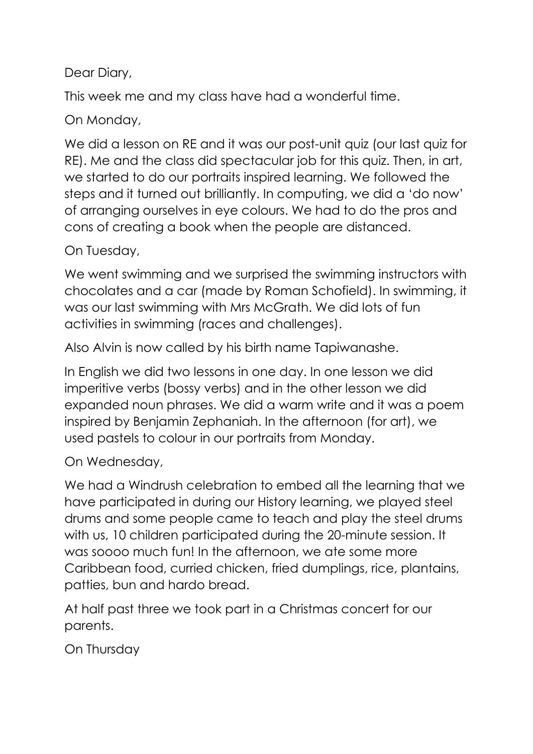## Dear Diary,

This week me and my class have had a wonderful time.

## On Monday,

We did a lesson on RE and it was our post-unit quiz (our last quiz for RE). Me and the class did spectacular job for this quiz. Then, in art, we started to do our portraits inspired learning. We followed the steps and it turned out brilliantly. In computing, we did a 'do now' of arranging ourselves in eye colours. We had to do the pros and cons of creating a book when the people are distanced.

## On Tuesday,

We went swimming and we surprised the swimming instructors with chocolates and a car (made by Roman Schofield). In swimming, it was our last swimming with Mrs McGrath. We did lots of fun activities in swimming (races and challenges).

Also Alvin is now called by his birth name Tapiwanashe.

In English we did two lessons in one day. In one lesson we did imperitive verbs (bossy verbs) and in the other lesson we did expanded noun phrases. We did a warm write and it was a poem inspired by Benjamin Zephaniah. In the afternoon (for art), we used pastels to colour in our portraits from Monday.

On Wednesday,

We had a Windrush celebration to embed all the learning that we have participated in during our History learning, we played steel drums and some people came to teach and play the steel drums with us, 10 children participated during the 20-minute session. It was soooo much fun! In the afternoon, we ate some more Caribbean food, curried chicken, fried dumplings, rice, plantains, patties, bun and hardo bread.

At half past three we took part in a Christmas concert for our parents.

On Thursday